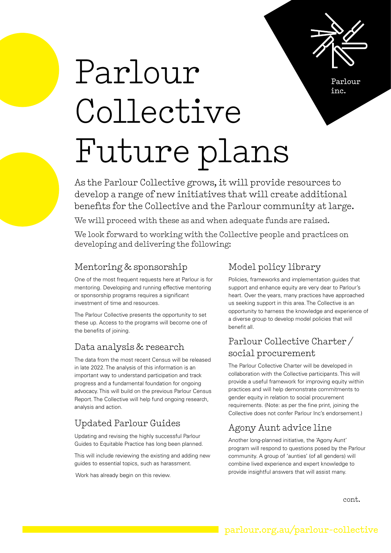

Parlour inc.

# Parlour Collective Future plans

As the Parlour Collective grows, it will provide resources to develop a range of new initiatives that will create additional benefits for the Collective and the Parlour community at large.

We will proceed with these as and when adequate funds are raised.

We look forward to working with the Collective people and practices on developing and delivering the following:

#### Mentoring & sponsorship

One of the most frequent requests here at Parlour is for mentoring. Developing and running effective mentoring or sponsorship programs requires a significant investment of time and resources.

The Parlour Collective presents the opportunity to set these up. Access to the programs will become one of the benefits of joining.

#### Data analysis & research

The data from the most recent Census will be released in late 2022. The analysis of this information is an important way to understand participation and track progress and a fundamental foundation for ongoing advocacy. This will build on the previous Parlour Census Report. The Collective will help fund ongoing research, analysis and action.

## Updated Parlour Guides

Updating and revising the highly successful Parlour Guides to Equitable Practice has long been planned.

This will include reviewing the existing and adding new guides to essential topics, such as harassment.

Work has already begin on this review.

#### Model policy library

Policies, frameworks and implementation guides that support and enhance equity are very dear to Parlour's heart. Over the years, many practices have approached us seeking support in this area. The Collective is an opportunity to harness the knowledge and experience of a diverse group to develop model policies that will benefit all.

#### Parlour Collective Charter / social procurement

The Parlour Collective Charter will be developed in collaboration with the Collective participants. This will provide a useful framework for improving equity within practices and will help demonstrate commitments to gender equity in relation to social procurement requirements. (Note: as per the fine print, joining the Collective does not confer Parlour Inc's endorsement.)

## Agony Aunt advice line

Another long-planned initiative, the 'Agony Aunt' program will respond to questions posed by the Parlour community. A group of 'aunties' (of all genders) will combine lived experience and expert knowledge to provide insightful answers that will assist many.

cont.